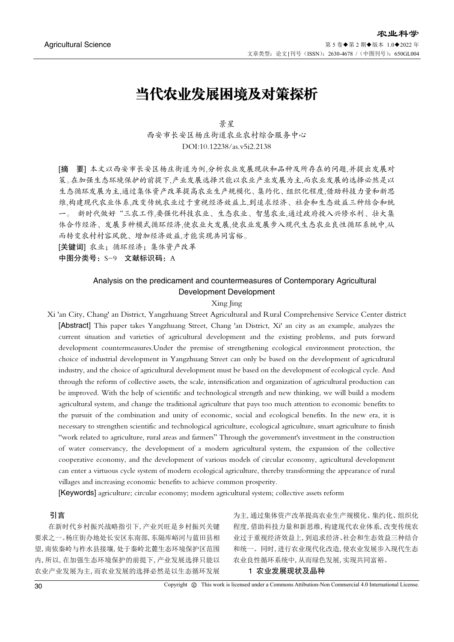# 当代农业发展困境及对策探析

景星 西安市长安区杨庄街道农业农村综合服务中心 DOI:10.12238/as.v5i2.2138

[摘 要] 本文以西安市长安区杨庄街道为例,分析农业发展现状和品种及所存在的问题,并提出发展对 策。在加强生态环境保护的前提下,产业发展选择只能以农业产业发展为主,而农业发展的选择必然是以 生态循环发展为主,通过集体资产改革提高农业生产规模化、集约化、组织化程度,借助科技力量和新思 维,构建现代农业体系,改变传统农业过于重视经济效益上,到追求经济、社会和生态效益三种结合和统 一。 新时代做好"三农工作,要强化科技农业、生态农业、智慧农业,通过政府投入兴修水利、壮大集 体合作经济、发展多种模式循环经济,使农业大发展,使农业发展步入现代生态农业良性循环系统中,从 而转变农村村容风貌、增加经济效益,才能实现共同富裕。

[关键词] 农业;循环经济;集体资产改革

中图分类号: S-9 文献标识码: A

# Analysis on the predicament and countermeasures of Contemporary Agricultural Development Development

## Xing Jing

Xi 'an City, Chang' an District, Yangzhuang Street Agricultural and Rural Comprehensive Service Center district [Abstract] This paper takes Yangzhuang Street, Chang 'an District, Xi' an city as an example, analyzes the current situation and varieties of agricultural development and the existing problems, and puts forward development countermeasures.Under the premise of strengthening ecological environment protection, the choice of industrial development in Yangzhuang Street can only be based on the development of agricultural industry, and the choice of agricultural development must be based on the development of ecological cycle. And through the reform of collective assets, the scale, intensification and organization of agricultural production can be improved. With the help of scientific and technological strength and new thinking, we will build a modern agricultural system, and change the traditional agriculture that pays too much attention to economic benefits to the pursuit of the combination and unity of economic, social and ecological benefits. In the new era, it is necessary to strengthen scientific and technological agriculture, ecological agriculture, smart agriculture to finish "work related to agriculture, rural areas and farmers" Through the government's investment in the construction of water conservancy, the development of a modern agricultural system, the expansion of the collective cooperative economy, and the development of various models of circular economy, agricultural development can enter a virtuous cycle system of modern ecological agriculture, thereby transforming the appearance of rural villages and increasing economic benefits to achieve common prosperity.

[Keywords] agriculture; circular economy; modern agricultural system; collective assets reform

# 引言

在新时代乡村振兴战略指引下,产业兴旺是乡村振兴关键 要求之一。杨庄街办地处长安区东南部,东隔库峪河与蓝田县相 望,南依秦岭与柞水县接壤,处于秦岭北麓生态环境保护区范围 内,所以,在加强生态环境保护的前提下,产业发展选择只能以 农业产业发展为主,而农业发展的选择必然是以生态循环发展

为主,通过集体资产改革提高农业生产规模化、集约化、组织化 程度,借助科技力量和新思维,构建现代农业体系,改变传统农 业过于重视经济效益上,到追求经济、社会和生态效益三种结合 和统一。同时,进行农业现代化改造,使农业发展步入现代生态 农业良性循环系统中,从而绿色发展,实现共同富裕。

# 1 农业发展现状及品种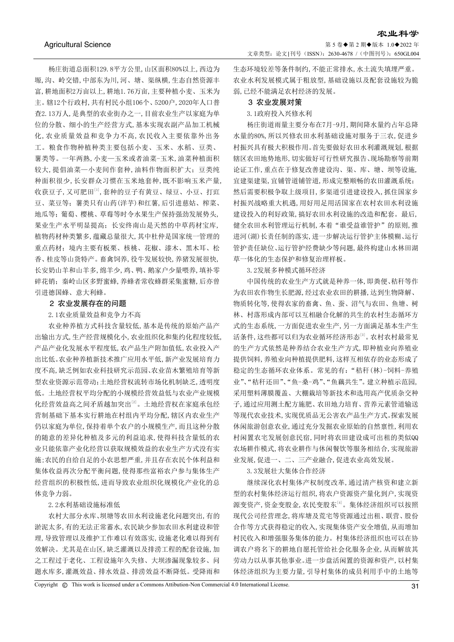杨庄街道总面积129.8平方公里,山区面积80%以上,西边为 塬,沟、岭交错,中部东为川,河、塘、渠纵横,生态自然资源丰 富,耕地面积2万亩以上,耕地1.76万亩,主要种植小麦、玉米为 主。辖12个行政村,共有村民小组106个、5200户,2020年人口普 查2.13万人,是典型的农业街办之一,目前农业生产以家庭为单 位的分散、细小的生产经营方式,基本实现农副产品加工机械 化,农业质量效益和竞争力不高,农民收入主要依靠外出务 工。粮食作物种植种类主要包括小麦、玉米、水稻、豆类、 薯类等。一年两熟,小麦—玉米或者油菜-玉米,油菜种植面积 较大,提倡油菜—小麦间作套种,油料作物面积扩大;豆类纯 种面积很少,长安群众习惯在玉米地套种,既不影响玉米产量, 收获豆子,又可肥田[1],套种的豆子有黄豆、绿豆、小豆、打豇 豆、菜豆等;薯类只有山药(洋芋)和红薯,后引进慈姑、榨菜、 地瓜等;葡萄、樱桃、草莓等时今水果生产保持强劲发展势头, 果业生产水平明显提高;长安终南山是天然的中草药材宝库, 植物药材种类繁多,蕴藏总量很大,其中杜仲是国家统一管理的 重点药材;境内主要有板栗、核桃、花椒、漆木、黑木耳、松 香、桂皮等山货特产。畜禽饲养,役牛发展较快,养猪发展很快, 长安奶山羊和山羊多,绵羊少,鸡、鸭、鹅家户少量喂养,填补零 碎花销;秦岭山区多野蜜蜂,养蜂者常收蜂群采集蜜糖,后亦曾 引进德国蜂、意大利蜂。

## 2 农业发展存在的问题

# 2.1农业质量效益和竞争力不高

农业种养植方式科技含量较低,基本是传统的原始产品产 出输出方式,生产经营规模化小,农业组织化和集约化程度较低, 产品产业化发展水平程度低,农产品生产附加值低,农业投入产 出比低。农业种养植新技术推广应用水平低,新产业发展培育力 度不高,缺乏例如农业科技研究示范园、农业苗木繁殖培育等新 型农业资源示范带动;土地经营权流转市场化机制缺乏,透明度 低。土地经营权平均分配的小规模经营效益低与农业产业规模 化经营效益高之间矛盾越加突出[2]。土地经营权在家庭承包经 营制基础下基本实行耕地在村组内平均分配,辖区内农业生产 仍以家庭为单位,保持着单个农户的小规模生产,而且这种分散 的随意的差异化种植及多元的利益追求,使得科技含量低的农 业只能依靠产业化经营以获取规模效益的农业生产方式没有实 施;农民的自给自足的小农思想严重,并且存在农民个体利益和 集体收益再次分配平衡问题,使得那些富裕农户参与集体生产 经营组织的积极性低,进而导致农业组织化规模化产业化的总 体竞争力弱。

## 2.2水利基础设施标准低

农村大部分水库、坝塘等农田水利设施老化问题突出,有的 淤泥太多,有的无法正常蓄水,农民缺少参加农田水利建设和管 理,导致管理以及维护工作难以有效落实,设施老化难以得到有 效解决。尤其是在山区,缺乏灌溉以及排涝工程的配套设施,加 之工程过于老化、工程设施年久失修、大坝渗漏现象较多、问 题水库多,灌溉效益、排水效益、排涝效益不断降低。受降雨和

生态环境较差等条件制约,不能正常排水,水土流失填埋严重。 农业水利发展模式属于粗放型,基础设施以及配套设施较为脆 弱,已经不能满足农村经济的发展。

#### 3 农业发展对策

## 3.1政府投入兴修水利

杨庄街道雨量主要分布在7月-9月,期间降水量约占年总降 水量的80%,所以兴修农田水利基础设施对服务于三农,促进乡 村振兴具有极大积极作用。首先要做好农田水利灌溉规划,根据 辖区农田地势地形,切实做好可行性研究报告、现场勘察等前期 论证工作,重点在于修复改善建设沟、渠、库、塘、坝等设施, 宜建渠建渠,宜铺管道铺管道,形成完整顺畅的农田灌溉系统; 然后需要积极争取上级项目,多渠道引进建设投入,抓住国家乡 村振兴战略重大机遇,用好用足用活国家在农村农田水利设施 建设投入的利好政策,搞好农田水利设施的改造和配套。最后, 健全农田水利管理运行机制,本着"谁受益谁管护"的原则,推 进河(湖)长责任制的落实,进一步解决运行管护主体模糊、运行 管护责任缺位、运行管护经费缺少等问题,最终构建山水林田湖 草一体化的生态保护和修复治理样板。

3.2发展多种模式循环经济

中国传统的农业生产方式就是种养一体,即粪便、秸秆等作 为农田农作物生长肥源,经过农业农田的耕播,达到生物降解、 物质转化等,使得农家的畜禽、鱼、蚕、沼气与农田、鱼塘、树 林、村落形成内部可以互相融合化解的共生的农村生态循环方 式的生态系统,一方面促进农业生产,另一方面满足基本生产生 活条件,这些都可以归为农业循环经济形态[3]。农村农村最常见 的生产方式依然是种养结合农业生产方式,即种植业向养殖业 提供饲料,养殖业向种植提供肥料,这样互相依存的业态形成了 稳定的生态循环农业体系。常见的有:"秸秆(林)-饲料-养殖 业"、"秸秆还田"、"鱼-桑-鸡"、"鱼藕共生"。建立种植示范园, 采用塑料薄膜覆盖、大棚栽培等新技术和选用高产优质杂交种 子,通过应用测土配方施肥、农田地力培育、营养元素管道输送 等现代农业技术,实现优质品无公害农产品生产方式。探索发展 休闲旅游创意农业,通过充分发掘农业原始的自然禀性,利用农 村闲置农宅发展创意民宿,同时将农田建设成可出租的类似QQ 农场耕作模式,将农业耕作与休闲餐饮等服务相结合,实现旅游 业发展,促进一、二、三产业融合,促进农业高效发展。

# 3.3发展壮大集体合作经济

继续深化农村集体产权制度改革,通过清产核资和建立新 型的农村集体经济运行组织,将农户资源资产量化到户,实现资 源变资产,资金变股金,农民变股东[4]。集体经济组织可以按照 现代公司经营理念,将库塘及荒宅等资源通过出租、联营、股份 合作等方式获得稳定的收入,实现集体资产安全增值,从而增加 村民收入和增强服务集体的能力。村集体经济组织也可以在协 调农户将名下的耕地自愿托管给社会化服务企业,从而解放其 劳动力以从事其他事业。进一步盘活闲置的资源和资产,以村集 体经济组织为主要力量,引导村集体的成员利用手中的土地等